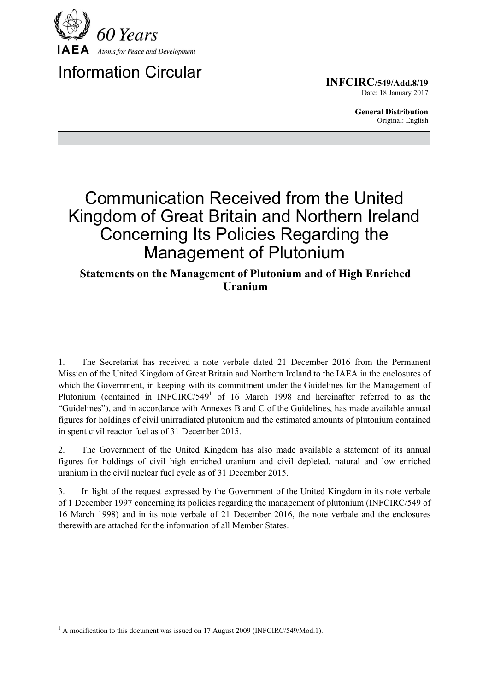

## Information Circular

**INFCIRC/549/Add.8/19** Date: 18 January 2017

> **General Distribution** Original: English

# Communication Received from the United Kingdom of Great Britain and Northern Ireland Concerning Its Policies Regarding the Management of Plutonium

### **Statements on the Management of Plutonium and of High Enriched Uranium**

1. The Secretariat has received a note verbale dated 21 December 2016 from the Permanent Mission of the United Kingdom of Great Britain and Northern Ireland to the IAEA in the enclosures of which the Government, in keeping with its commitment under the Guidelines for the Management of Plutonium (contained in INFCIRC/549<sup>1</sup> of 16 March 1998 and hereinafter referred to as the "Guidelines"), and in accordance with Annexes B and C of the Guidelines, has made available annual figures for holdings of civil unirradiated plutonium and the estimated amounts of plutonium contained in spent civil reactor fuel as of 31 December 2015.

2. The Government of the United Kingdom has also made available a statement of its annual figures for holdings of civil high enriched uranium and civil depleted, natural and low enriched uranium in the civil nuclear fuel cycle as of 31 December 2015.

3. In light of the request expressed by the Government of the United Kingdom in its note verbale of 1 December 1997 concerning its policies regarding the management of plutonium (INFCIRC/549 of 16 March 1998) and in its note verbale of 21 December 2016, the note verbale and the enclosures therewith are attached for the information of all Member States.

 $\mathcal{L}_\mathcal{L} = \{ \mathcal{L}_\mathcal{L} = \{ \mathcal{L}_\mathcal{L} = \{ \mathcal{L}_\mathcal{L} = \{ \mathcal{L}_\mathcal{L} = \{ \mathcal{L}_\mathcal{L} = \{ \mathcal{L}_\mathcal{L} = \{ \mathcal{L}_\mathcal{L} = \{ \mathcal{L}_\mathcal{L} = \{ \mathcal{L}_\mathcal{L} = \{ \mathcal{L}_\mathcal{L} = \{ \mathcal{L}_\mathcal{L} = \{ \mathcal{L}_\mathcal{L} = \{ \mathcal{L}_\mathcal{L} = \{ \mathcal{L}_\mathcal{$ 

<sup>&</sup>lt;sup>1</sup> A modification to this document was issued on 17 August 2009 (INFCIRC/549/Mod.1).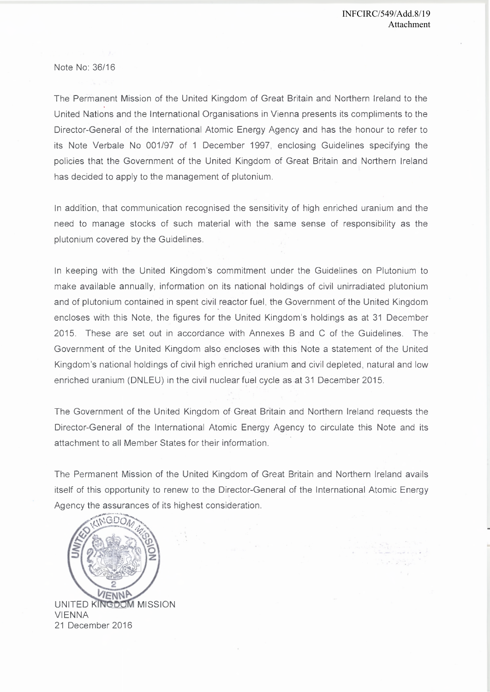Note No: 36/16

The Permanent Mission of the United Kingdom of Great Britain and Northern Ireland to the United Nations and the International Organisations in Vienna presents its compliments to the Director-General of the International Atomic Energy Agency and has the honour to refer to its Note Verbale No 001/97 of 1 December 1997, enclosing Guidelines specifying the policies that the Government of the United Kingdom of Great Britain and Northern Ireland has decided to apply to the management of plutonium.

In addition, that communication recognised the sensitivity of high enriched uranium and the need to manage stocks of such material with the same sense of responsibility as the plutonium covered by the Guidelines.

In keeping with the United Kingdom's commitment under the Guidelines on Plutonium to make available annually, information on its national holdings of civil unirradiated plutonium and of plutonium contained in spent civil reactor fuel, the Government of the United Kingdom encloses with this Note, the figures for the United Kingdom's holdings as at 31 December 2015. These are set out in accordance with Annexes B and C of the Guidelines. The Government of the United Kingdom also encloses with this Note a statement of the United Kingdom's national holdings of civil high enriched uranium and civil depleted, natural and low enriched uranium (DNLEU) in the civil nuclear fuel cycle as at 31 December 2015.

The Government of the United Kingdom of Great Britain and Northern Ireland requests the Director-General of the International Atomic Energy Agency to circulate this Note and its attachment to all Member States for their information.

The Permanent Mission of the United Kingdom of Great Britain and Northern Ireland avails itself of this opportunity to renew to the Director-General of the International Atomic Energy Agency the assurances of its highest consideration.

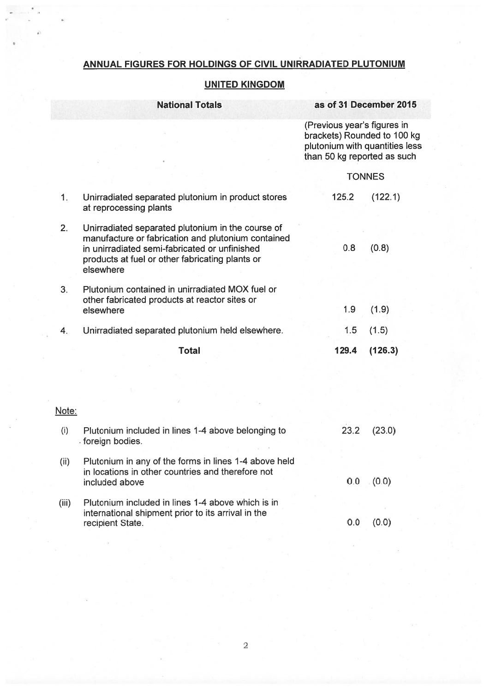## ANNUAL FIGURES FOR HOLDINGS OF CIVIL UNIRRADIATED PLUTONIUM

### **UNITED KINGDOM**

|       | <b>National Totals</b>                                                                                                                                                                                                   | as of 31 December 2015                                                                                                      |         |
|-------|--------------------------------------------------------------------------------------------------------------------------------------------------------------------------------------------------------------------------|-----------------------------------------------------------------------------------------------------------------------------|---------|
|       |                                                                                                                                                                                                                          | (Previous year's figures in<br>brackets) Rounded to 100 kg<br>plutonium with quantities less<br>than 50 kg reported as such |         |
|       |                                                                                                                                                                                                                          | <b>TONNES</b>                                                                                                               |         |
| 1.    | Unirradiated separated plutonium in product stores<br>at reprocessing plants                                                                                                                                             | 125.2                                                                                                                       | (122.1) |
| 2.    | Unirradiated separated plutonium in the course of<br>manufacture or fabrication and plutonium contained<br>in unirradiated semi-fabricated or unfinished<br>products at fuel or other fabricating plants or<br>elsewhere | 0.8                                                                                                                         | (0.8)   |
| 3.    | Plutonium contained in unirradiated MOX fuel or<br>other fabricated products at reactor sites or<br>elsewhere                                                                                                            | 1.9                                                                                                                         | (1.9)   |
| 4.    | Unirradiated separated plutonium held elsewhere.                                                                                                                                                                         | 1.5                                                                                                                         | (1.5)   |
|       | <b>Total</b>                                                                                                                                                                                                             | 129.4                                                                                                                       | (126.3) |
|       |                                                                                                                                                                                                                          |                                                                                                                             |         |
| Note: |                                                                                                                                                                                                                          |                                                                                                                             |         |
| (i)   | Plutonium included in lines 1-4 above belonging to<br>foreign bodies.                                                                                                                                                    | 23.2                                                                                                                        | (23.0)  |
| (ii)  | Plutonium in any of the forms in lines 1-4 above held<br>in locations in other countries and therefore not<br>included above                                                                                             | 0.0                                                                                                                         | (0.0)   |
| (iii) | Plutonium included in lines 1-4 above which is in<br>international shipment prior to its arrival in the<br>recipient State.                                                                                              | 0.0                                                                                                                         | (0.0)   |

recipient State.

 $\bar{\chi}$ 

 $\overline{2}$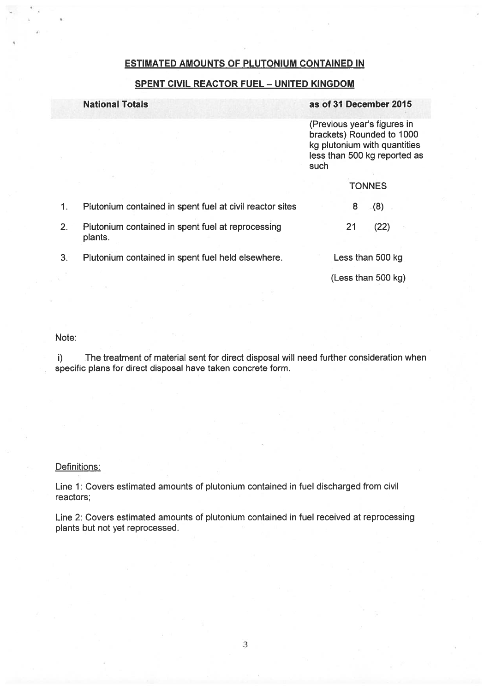#### **ESTIMATED AMOUNTS OF PLUTONIUM CONTAINED IN**

#### **SPENT CIVIL REACTOR FUEL - UNITED KINGDOM**

#### **National Totals**

#### as of 31 December 2015

(Previous year's figures in brackets) Rounded to 1000 kg plutonium with quantities less than 500 kg reported as such

|    |                                                              | <b>TONNES</b>      |  |
|----|--------------------------------------------------------------|--------------------|--|
|    | Plutonium contained in spent fuel at civil reactor sites     | (8)<br>8           |  |
|    | Plutonium contained in spent fuel at reprocessing<br>plants. | (22)<br>21         |  |
| 3. | Plutonium contained in spent fuel held elsewhere.            | Less than 500 kg   |  |
|    |                                                              | (Less than 500 kg) |  |

Note:

 $\mathbf{i}$ The treatment of material sent for direct disposal will need further consideration when specific plans for direct disposal have taken concrete form.

#### Definitions:

Line 1: Covers estimated amounts of plutonium contained in fuel discharged from civil reactors;

Line 2: Covers estimated amounts of plutonium contained in fuel received at reprocessing plants but not yet reprocessed.